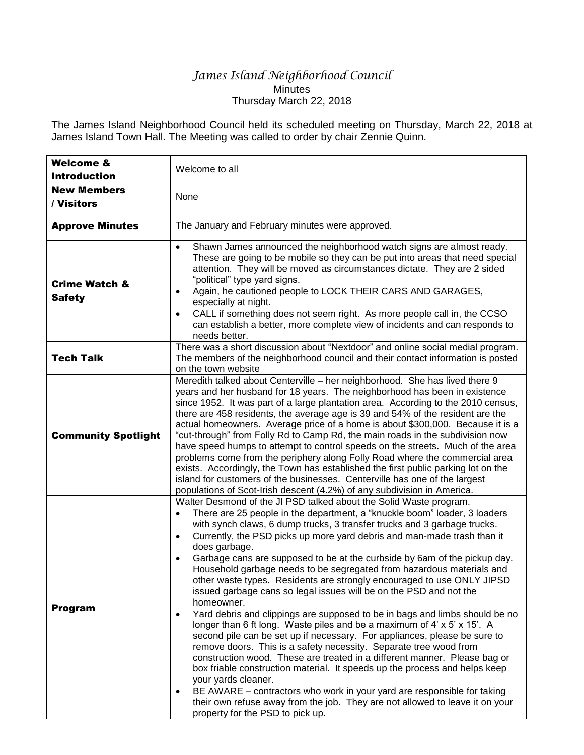## *James Island Neighborhood Council* **Minutes** Thursday March 22, 2018

The James Island Neighborhood Council held its scheduled meeting on Thursday, March 22, 2018 at James Island Town Hall. The Meeting was called to order by chair Zennie Quinn.

| <b>Welcome &amp;</b><br><b>Introduction</b> | Welcome to all                                                                                                                                                                                                                                                                                                                                                                                                                                                                                                                                                                                                                                                                                                                                                                                                                                                                                                                                                                                                                                                                                                                                                                                                                                                                                                                                                                               |
|---------------------------------------------|----------------------------------------------------------------------------------------------------------------------------------------------------------------------------------------------------------------------------------------------------------------------------------------------------------------------------------------------------------------------------------------------------------------------------------------------------------------------------------------------------------------------------------------------------------------------------------------------------------------------------------------------------------------------------------------------------------------------------------------------------------------------------------------------------------------------------------------------------------------------------------------------------------------------------------------------------------------------------------------------------------------------------------------------------------------------------------------------------------------------------------------------------------------------------------------------------------------------------------------------------------------------------------------------------------------------------------------------------------------------------------------------|
| <b>New Members</b><br>/ Visitors            | None                                                                                                                                                                                                                                                                                                                                                                                                                                                                                                                                                                                                                                                                                                                                                                                                                                                                                                                                                                                                                                                                                                                                                                                                                                                                                                                                                                                         |
| <b>Approve Minutes</b>                      | The January and February minutes were approved.                                                                                                                                                                                                                                                                                                                                                                                                                                                                                                                                                                                                                                                                                                                                                                                                                                                                                                                                                                                                                                                                                                                                                                                                                                                                                                                                              |
| <b>Crime Watch &amp;</b><br><b>Safety</b>   | Shawn James announced the neighborhood watch signs are almost ready.<br>$\bullet$<br>These are going to be mobile so they can be put into areas that need special<br>attention. They will be moved as circumstances dictate. They are 2 sided<br>"political" type yard signs.<br>Again, he cautioned people to LOCK THEIR CARS AND GARAGES,<br>$\bullet$<br>especially at night.<br>CALL if something does not seem right. As more people call in, the CCSO<br>$\bullet$<br>can establish a better, more complete view of incidents and can responds to<br>needs better.                                                                                                                                                                                                                                                                                                                                                                                                                                                                                                                                                                                                                                                                                                                                                                                                                     |
| <b>Tech Talk</b>                            | There was a short discussion about "Nextdoor" and online social medial program.<br>The members of the neighborhood council and their contact information is posted<br>on the town website                                                                                                                                                                                                                                                                                                                                                                                                                                                                                                                                                                                                                                                                                                                                                                                                                                                                                                                                                                                                                                                                                                                                                                                                    |
| <b>Community Spotlight</b>                  | Meredith talked about Centerville - her neighborhood. She has lived there 9<br>years and her husband for 18 years. The neighborhood has been in existence<br>since 1952. It was part of a large plantation area. According to the 2010 census,<br>there are 458 residents, the average age is 39 and 54% of the resident are the<br>actual homeowners. Average price of a home is about \$300,000. Because it is a<br>"cut-through" from Folly Rd to Camp Rd, the main roads in the subdivision now<br>have speed humps to attempt to control speeds on the streets. Much of the area<br>problems come from the periphery along Folly Road where the commercial area<br>exists. Accordingly, the Town has established the first public parking lot on the<br>island for customers of the businesses. Centerville has one of the largest<br>populations of Scot-Irish descent (4.2%) of any subdivision in America.                                                                                                                                                                                                                                                                                                                                                                                                                                                                           |
| <b>Program</b>                              | Walter Desmond of the JI PSD talked about the Solid Waste program.<br>There are 25 people in the department, a "knuckle boom" loader, 3 loaders<br>with synch claws, 6 dump trucks, 3 transfer trucks and 3 garbage trucks.<br>Currently, the PSD picks up more yard debris and man-made trash than it<br>$\bullet$<br>does garbage.<br>Garbage cans are supposed to be at the curbside by 6am of the pickup day.<br>$\bullet$<br>Household garbage needs to be segregated from hazardous materials and<br>other waste types. Residents are strongly encouraged to use ONLY JIPSD<br>issued garbage cans so legal issues will be on the PSD and not the<br>homeowner.<br>Yard debris and clippings are supposed to be in bags and limbs should be no<br>$\bullet$<br>longer than 6 ft long. Waste piles and be a maximum of 4' x 5' x 15'. A<br>second pile can be set up if necessary. For appliances, please be sure to<br>remove doors. This is a safety necessity. Separate tree wood from<br>construction wood. These are treated in a different manner. Please bag or<br>box friable construction material. It speeds up the process and helps keep<br>your yards cleaner.<br>BE AWARE - contractors who work in your yard are responsible for taking<br>$\bullet$<br>their own refuse away from the job. They are not allowed to leave it on your<br>property for the PSD to pick up. |